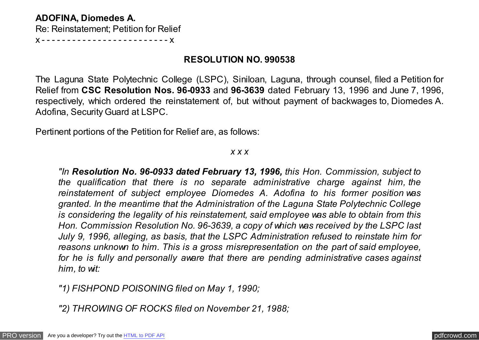## **ADOFINA, Diomedes A.**

Re: Reinstatement; Petition for Relief

x - - - - - - - - - - - - - - - - - - - - - - - - - x

# **RESOLUTION NO. 990538**

The Laguna State Polytechnic College (LSPC), Siniloan, Laguna, through counsel, filed a Petition for Relief from **CSC Resolution Nos. 96-0933** and **96-3639** dated February 13, 1996 and June 7, 1996, respectively, which ordered the reinstatement of, but without payment of backwages to, Diomedes A. Adofina, Security Guard at LSPC.

Pertinent portions of the Petition for Relief are, as follows:

## *x x x*

*"In Resolution No. 96-0933 dated February 13, 1996, this Hon. Commission, subject to the qualification that there is no separate administrative charge against him, the reinstatement of subject employee Diomedes A. Adofina to his former position was granted. In the meantime that the Administration of the Laguna State Polytechnic College is considering the legality of his reinstatement, said employee was able to obtain from this Hon. Commission Resolution No. 96-3639, a copy of which was received by the LSPC last July 9, 1996, alleging, as basis, that the LSPC Administration refused to reinstate him for reasons unknown to him. This is a gross misrepresentation on the part of said employee, for he is fully and personally aware that there are pending administrative cases against him, to wit:*

*"1) FISHPOND POISONING filed on May 1, 1990;*

*"2) THROWING OF ROCKS filed on November 21, 1988;*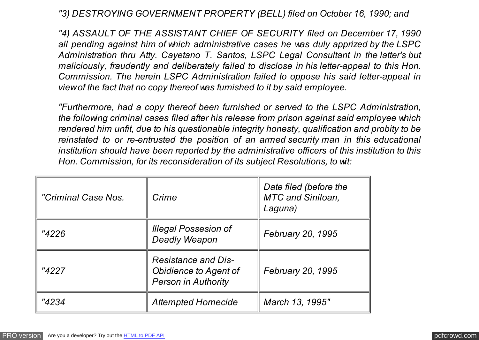*"3) DESTROYING GOVERNMENT PROPERTY (BELL) filed on October 16, 1990; and*

*"4) ASSAULT OF THE ASSISTANT CHIEF OF SECURITY filed on December 17, 1990 all pending against him of which administrative cases he was duly apprized by the LSPC Administration thru Atty. Cayetano T. Santos, LSPC Legal Consultant in the latter's but maliciously, fraudently and deliberately failed to disclose in his letter-appeal to this Hon. Commission. The herein LSPC Administration failed to oppose his said letter-appeal in view of the fact that no copy thereof was furnished to it by said employee.*

*"Furthermore, had a copy thereof been furnished or served to the LSPC Administration, the following criminal cases filed after his release from prison against said employee which rendered him unfit, due to his questionable integrity honesty, qualification and probity to be reinstated to or re-entrusted the position of an armed security man in this educational institution should have been reported by the administrative officers of this institution to this Hon. Commission, for its reconsideration of its subject Resolutions, to wit:*

| "Criminal Case Nos. | Crime                                                                                    | Date filed (before the<br><b>MTC and Siniloan,</b><br>Laguna) |
|---------------------|------------------------------------------------------------------------------------------|---------------------------------------------------------------|
| "4226               | <b>Illegal Possesion of</b><br><b>Deadly Weapon</b>                                      | February 20, 1995                                             |
| "4227               | <b>Resistance and Dis-</b><br><b>Obidience to Agent of</b><br><b>Person in Authority</b> | February 20, 1995                                             |
| "4234               | <b>Attempted Homecide</b>                                                                | March 13, 1995"                                               |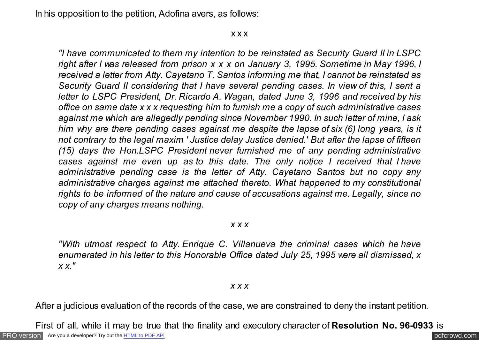In his opposition to the petition, Adofina avers, as follows:

x x x

*"I have communicated to them my intention to be reinstated as Security Guard II in LSPC right after I was released from prison x x x on January 3, 1995. Sometime in May 1996, I received a letter from Atty. Cayetano T. Santos informing me that, I cannot be reinstated as Security Guard II considering that I have several pending cases. In view of this, I sent a letter to LSPC President, Dr. Ricardo A. Wagan, dated June 3, 1996 and received by his office on same date x x x requesting him to furnish me a copy of such administrative cases against me which are allegedly pending since November 1990. In such letter of mine, I ask him why are there pending cases against me despite the lapse of six (6) long years, is it not contrary to the legal maxim ' Justice delay Justice denied.' But after the lapse of fifteen (15) days the Hon.LSPC President never furnished me of any pending administrative cases against me even up as to this date. The only notice I received that I have administrative pending case is the letter of Atty. Cayetano Santos but no copy any administrative charges against me attached thereto. What happened to my constitutional rights to be informed of the nature and cause of accusations against me. Legally, since no copy of any charges means nothing.*

### *x x x*

*"With utmost respect to Atty. Enrique C. Villanueva the criminal cases which he have enumerated in his letter to this Honorable Office dated July 25, 1995 were all dismissed, x x x."*

#### *x x x*

After a judicious evaluation of the records of the case, we are constrained to deny the instant petition.

[PRO version](http://pdfcrowd.com/customize/) Are you a developer? Try out th[e HTML to PDF API](http://pdfcrowd.com/html-to-pdf-api/?ref=pdf) compared to the comparison of the HTML to PDF API First of all, while it may be true that the finality and executory character of **Resolution No. 96-0933** is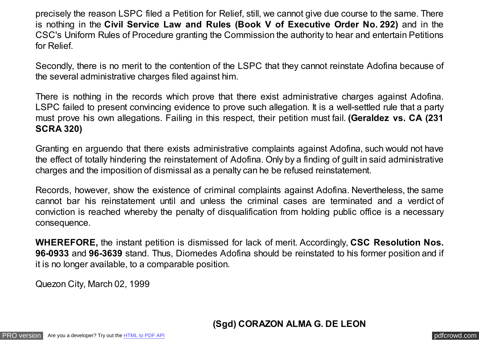precisely the reason LSPC filed a Petition for Relief, still, we cannot give due course to the same. There is nothing in the **Civil Service Law and Rules (Book V of Executive Order No. 292)** and in the CSC's Uniform Rules of Procedure granting the Commission the authority to hear and entertain Petitions for Relief.

Secondly, there is no merit to the contention of the LSPC that they cannot reinstate Adofina because of the several administrative charges filed against him.

There is nothing in the records which prove that there exist administrative charges against Adofina. LSPC failed to present convincing evidence to prove such allegation. It is a well-settled rule that a party must prove his own allegations. Failing in this respect, their petition must fail. **(Geraldez vs. CA (231 SCRA 320)**

Granting en arguendo that there exists administrative complaints against Adofina, such would not have the effect of totally hindering the reinstatement of Adofina. Only by a finding of guilt in said administrative charges and the imposition of dismissal as a penalty can he be refused reinstatement.

Records, however, show the existence of criminal complaints against Adofina. Nevertheless, the same cannot bar his reinstatement until and unless the criminal cases are terminated and a verdict of conviction is reached whereby the penalty of disqualification from holding public office is a necessary consequence.

**WHEREFORE,** the instant petition is dismissed for lack of merit. Accordingly, **CSC Resolution Nos. 96-0933** and **96-3639** stand. Thus, Diomedes Adofina should be reinstated to his former position and if it is no longer available, to a comparable position.

Quezon City, March 02, 1999